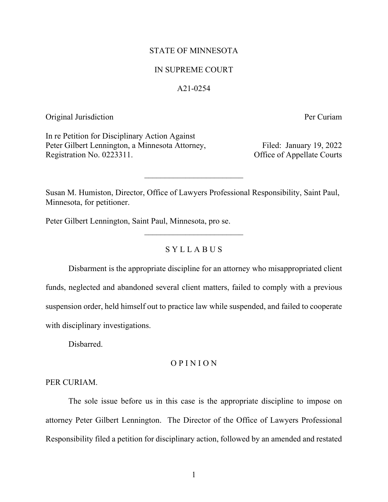## STATE OF MINNESOTA

## IN SUPREME COURT

## A21-0254

## Original Jurisdiction Per Curiam

In re Petition for Disciplinary Action Against Peter Gilbert Lennington, a Minnesota Attorney, Filed: January 19, 2022 Registration No. 0223311. Office of Appellate Courts

Susan M. Humiston, Director, Office of Lawyers Professional Responsibility, Saint Paul, Minnesota, for petitioner.

 $\mathcal{L}_\text{max}$  , where  $\mathcal{L}_\text{max}$  , we have the set of  $\mathcal{L}_\text{max}$ 

Peter Gilbert Lennington, Saint Paul, Minnesota, pro se.

## S Y L L A B U S

 $\mathcal{L}_\text{max}$  , where  $\mathcal{L}_\text{max}$  , we have the set of  $\mathcal{L}_\text{max}$ 

Disbarment is the appropriate discipline for an attorney who misappropriated client funds, neglected and abandoned several client matters, failed to comply with a previous suspension order, held himself out to practice law while suspended, and failed to cooperate with disciplinary investigations.

Disbarred.

## O P I N I O N

## PER CURIAM.

The sole issue before us in this case is the appropriate discipline to impose on attorney Peter Gilbert Lennington. The Director of the Office of Lawyers Professional Responsibility filed a petition for disciplinary action, followed by an amended and restated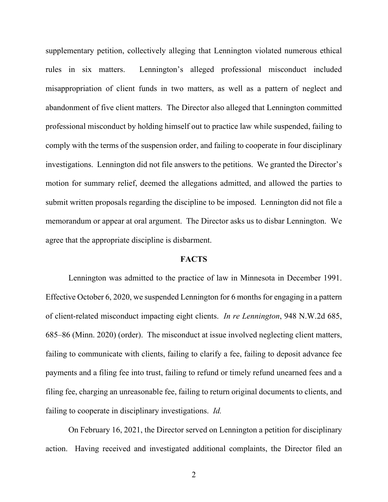supplementary petition, collectively alleging that Lennington violated numerous ethical rules in six matters. Lennington's alleged professional misconduct included misappropriation of client funds in two matters, as well as a pattern of neglect and abandonment of five client matters. The Director also alleged that Lennington committed professional misconduct by holding himself out to practice law while suspended, failing to comply with the terms of the suspension order, and failing to cooperate in four disciplinary investigations. Lennington did not file answers to the petitions. We granted the Director's motion for summary relief, deemed the allegations admitted, and allowed the parties to submit written proposals regarding the discipline to be imposed. Lennington did not file a memorandum or appear at oral argument. The Director asks us to disbar Lennington. We agree that the appropriate discipline is disbarment.

## **FACTS**

Lennington was admitted to the practice of law in Minnesota in December 1991. Effective October 6, 2020, we suspended Lennington for 6 months for engaging in a pattern of client-related misconduct impacting eight clients. *In re Lennington*, 948 N.W.2d 685, 685–86 (Minn. 2020) (order). The misconduct at issue involved neglecting client matters, failing to communicate with clients, failing to clarify a fee, failing to deposit advance fee payments and a filing fee into trust, failing to refund or timely refund unearned fees and a filing fee, charging an unreasonable fee, failing to return original documents to clients, and failing to cooperate in disciplinary investigations. *Id.*

On February 16, 2021, the Director served on Lennington a petition for disciplinary action. Having received and investigated additional complaints, the Director filed an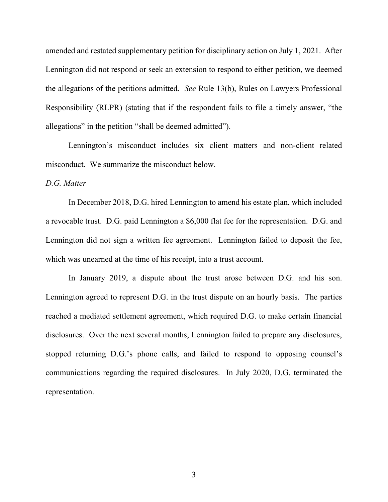amended and restated supplementary petition for disciplinary action on July 1, 2021. After Lennington did not respond or seek an extension to respond to either petition, we deemed the allegations of the petitions admitted. *See* Rule 13(b), Rules on Lawyers Professional Responsibility (RLPR) (stating that if the respondent fails to file a timely answer, "the allegations" in the petition "shall be deemed admitted").

Lennington's misconduct includes six client matters and non-client related misconduct. We summarize the misconduct below.

## *D.G. Matter*

In December 2018, D.G. hired Lennington to amend his estate plan, which included a revocable trust. D.G. paid Lennington a \$6,000 flat fee for the representation. D.G. and Lennington did not sign a written fee agreement. Lennington failed to deposit the fee, which was unearned at the time of his receipt, into a trust account.

In January 2019, a dispute about the trust arose between D.G. and his son. Lennington agreed to represent D.G. in the trust dispute on an hourly basis. The parties reached a mediated settlement agreement, which required D.G. to make certain financial disclosures. Over the next several months, Lennington failed to prepare any disclosures, stopped returning D.G.'s phone calls, and failed to respond to opposing counsel's communications regarding the required disclosures. In July 2020, D.G. terminated the representation.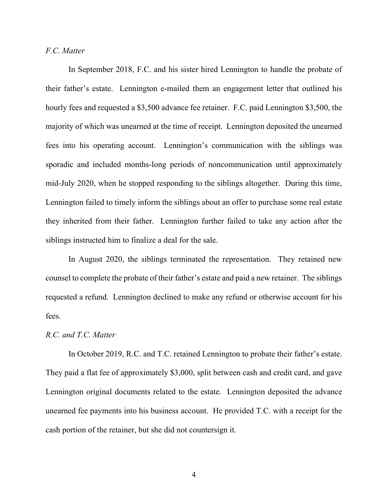## *F.C. Matter*

In September 2018, F.C. and his sister hired Lennington to handle the probate of their father's estate. Lennington e-mailed them an engagement letter that outlined his hourly fees and requested a \$3,500 advance fee retainer. F.C. paid Lennington \$3,500, the majority of which was unearned at the time of receipt. Lennington deposited the unearned fees into his operating account. Lennington's communication with the siblings was sporadic and included months-long periods of noncommunication until approximately mid-July 2020, when he stopped responding to the siblings altogether. During this time, Lennington failed to timely inform the siblings about an offer to purchase some real estate they inherited from their father. Lennington further failed to take any action after the siblings instructed him to finalize a deal for the sale.

In August 2020, the siblings terminated the representation. They retained new counsel to complete the probate of their father's estate and paid a new retainer. The siblings requested a refund. Lennington declined to make any refund or otherwise account for his fees.

## *R.C. and T.C. Matter*

In October 2019, R.C. and T.C. retained Lennington to probate their father's estate. They paid a flat fee of approximately \$3,000, split between cash and credit card, and gave Lennington original documents related to the estate. Lennington deposited the advance unearned fee payments into his business account. He provided T.C. with a receipt for the cash portion of the retainer, but she did not countersign it.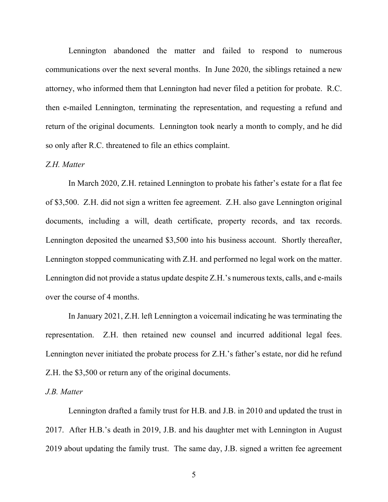Lennington abandoned the matter and failed to respond to numerous communications over the next several months. In June 2020, the siblings retained a new attorney, who informed them that Lennington had never filed a petition for probate. R.C. then e-mailed Lennington, terminating the representation, and requesting a refund and return of the original documents. Lennington took nearly a month to comply, and he did so only after R.C. threatened to file an ethics complaint.

## *Z.H. Matter*

In March 2020, Z.H. retained Lennington to probate his father's estate for a flat fee of \$3,500. Z.H. did not sign a written fee agreement. Z.H. also gave Lennington original documents, including a will, death certificate, property records, and tax records. Lennington deposited the unearned \$3,500 into his business account. Shortly thereafter, Lennington stopped communicating with Z.H. and performed no legal work on the matter. Lennington did not provide a status update despite Z.H.'s numerous texts, calls, and e-mails over the course of 4 months.

In January 2021, Z.H. left Lennington a voicemail indicating he was terminating the representation. Z.H. then retained new counsel and incurred additional legal fees. Lennington never initiated the probate process for Z.H.'s father's estate, nor did he refund Z.H. the \$3,500 or return any of the original documents.

#### *J.B. Matter*

Lennington drafted a family trust for H.B. and J.B. in 2010 and updated the trust in 2017. After H.B.'s death in 2019, J.B. and his daughter met with Lennington in August 2019 about updating the family trust. The same day, J.B. signed a written fee agreement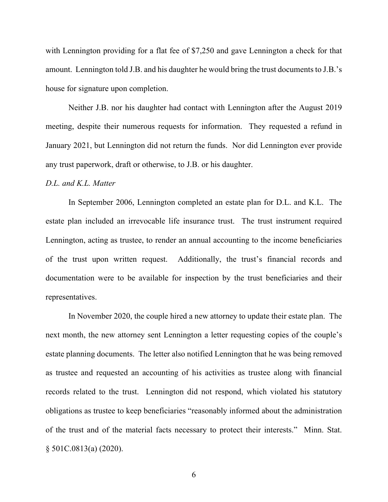with Lennington providing for a flat fee of \$7,250 and gave Lennington a check for that amount. Lennington told J.B. and his daughter he would bring the trust documents to J.B.'s house for signature upon completion.

Neither J.B. nor his daughter had contact with Lennington after the August 2019 meeting, despite their numerous requests for information. They requested a refund in January 2021, but Lennington did not return the funds. Nor did Lennington ever provide any trust paperwork, draft or otherwise, to J.B. or his daughter.

#### *D.L. and K.L. Matter*

In September 2006, Lennington completed an estate plan for D.L. and K.L. The estate plan included an irrevocable life insurance trust. The trust instrument required Lennington, acting as trustee, to render an annual accounting to the income beneficiaries of the trust upon written request. Additionally, the trust's financial records and documentation were to be available for inspection by the trust beneficiaries and their representatives.

In November 2020, the couple hired a new attorney to update their estate plan. The next month, the new attorney sent Lennington a letter requesting copies of the couple's estate planning documents. The letter also notified Lennington that he was being removed as trustee and requested an accounting of his activities as trustee along with financial records related to the trust. Lennington did not respond, which violated his statutory obligations as trustee to keep beneficiaries "reasonably informed about the administration of the trust and of the material facts necessary to protect their interests." Minn. Stat. § 501C.0813(a) (2020).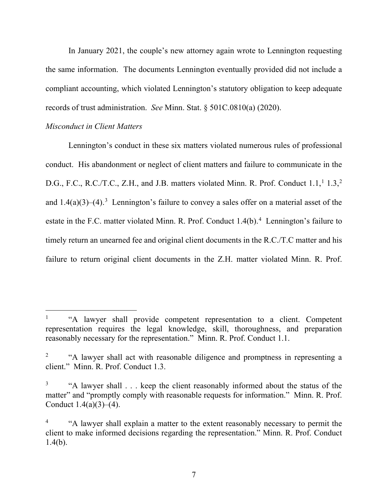In January 2021, the couple's new attorney again wrote to Lennington requesting the same information. The documents Lennington eventually provided did not include a compliant accounting, which violated Lennington's statutory obligation to keep adequate records of trust administration. *See* Minn. Stat. § 501C.0810(a) (2020).

# *Misconduct in Client Matters*

Lennington's conduct in these six matters violated numerous rules of professional conduct. His abandonment or neglect of client matters and failure to communicate in the D.G., F.C., R.C./T.C., Z.H., and J.B. matters violated Minn. R. Prof. Conduct  $1.1$  $1.1$ ,  $1.3$ ,  $2$ and  $1.4(a)(3)$  $1.4(a)(3)$  $1.4(a)(3)$ –(4).<sup>3</sup> Lennington's failure to convey a sales offer on a material asset of the estate in the F.C. matter violated Minn. R. Prof. Conduct  $1.4(b)$  $1.4(b)$  $1.4(b)$ .<sup>4</sup> Lennington's failure to timely return an unearned fee and original client documents in the R.C./T.C matter and his failure to return original client documents in the Z.H. matter violated Minn. R. Prof.

<span id="page-6-0"></span><sup>&</sup>lt;sup>1</sup> "A lawyer shall provide competent representation to a client. Competent representation requires the legal knowledge, skill, thoroughness, and preparation reasonably necessary for the representation." Minn. R. Prof. Conduct 1.1.

<span id="page-6-1"></span><sup>&</sup>lt;sup>2</sup> "A lawyer shall act with reasonable diligence and promptness in representing a client." Minn. R. Prof. Conduct 1.3.

<span id="page-6-2"></span><sup>3</sup> "A lawyer shall . . . keep the client reasonably informed about the status of the matter" and "promptly comply with reasonable requests for information." Minn. R. Prof. Conduct  $1.4(a)(3)–(4)$ .

<span id="page-6-3"></span><sup>4</sup> "A lawyer shall explain a matter to the extent reasonably necessary to permit the client to make informed decisions regarding the representation." Minn. R. Prof. Conduct  $1.4(b)$ .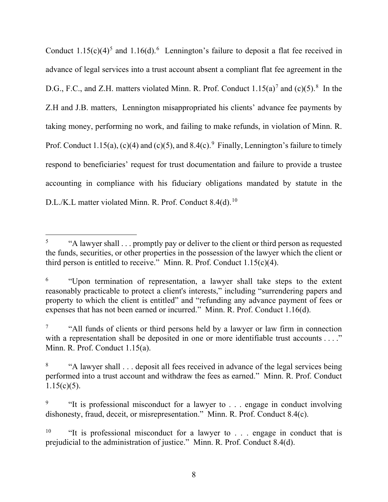Conduct  $1.15(c)(4)^5$  $1.15(c)(4)^5$  $1.15(c)(4)^5$  and  $1.16(d).$  $1.16(d).$  $1.16(d).$ <sup>6</sup> Lennington's failure to deposit a flat fee received in advance of legal services into a trust account absent a compliant flat fee agreement in the D.G., F.C., and Z.H. matters violated Minn. R. Prof. Conduct  $1.15(a)^7$  $1.15(a)^7$  and  $(c)(5)^8$  $(c)(5)^8$  In the Z.H and J.B. matters, Lennington misappropriated his clients' advance fee payments by taking money, performing no work, and failing to make refunds, in violation of Minn. R. Prof. Conduct 1.15(a), (c)(4) and (c)(5), and 8.4(c).<sup>[9](#page-7-4)</sup> Finally, Lennington's failure to timely respond to beneficiaries' request for trust documentation and failure to provide a trustee accounting in compliance with his fiduciary obligations mandated by statute in the D.L./K.L matter violated Minn. R. Prof. Conduct 8.4(d).<sup>[10](#page-7-5)</sup>

<span id="page-7-0"></span><sup>&</sup>lt;sup>5</sup> "A lawyer shall . . . promptly pay or deliver to the client or third person as requested the funds, securities, or other properties in the possession of the lawyer which the client or third person is entitled to receive." Minn. R. Prof. Conduct  $1.15(c)(4)$ .

<span id="page-7-1"></span><sup>&</sup>lt;sup>6</sup> "Upon termination of representation, a lawyer shall take steps to the extent reasonably practicable to protect a client's interests," including "surrendering papers and property to which the client is entitled" and "refunding any advance payment of fees or expenses that has not been earned or incurred." Minn. R. Prof. Conduct 1.16(d).

<span id="page-7-2"></span><sup>&</sup>lt;sup>7</sup> "All funds of clients or third persons held by a lawyer or law firm in connection with a representation shall be deposited in one or more identifiable trust accounts . . . ." Minn. R. Prof. Conduct 1.15(a).

<span id="page-7-3"></span><sup>&</sup>lt;sup>8</sup> "A lawyer shall . . . deposit all fees received in advance of the legal services being performed into a trust account and withdraw the fees as earned." Minn. R. Prof. Conduct  $1.15(c)(5)$ .

<span id="page-7-4"></span><sup>&</sup>lt;sup>9</sup> "It is professional misconduct for a lawyer to  $\ldots$  engage in conduct involving dishonesty, fraud, deceit, or misrepresentation." Minn. R. Prof. Conduct 8.4(c).

<span id="page-7-5"></span><sup>&</sup>lt;sup>10</sup> "It is professional misconduct for a lawyer to  $\ldots$  engage in conduct that is prejudicial to the administration of justice." Minn. R. Prof. Conduct 8.4(d).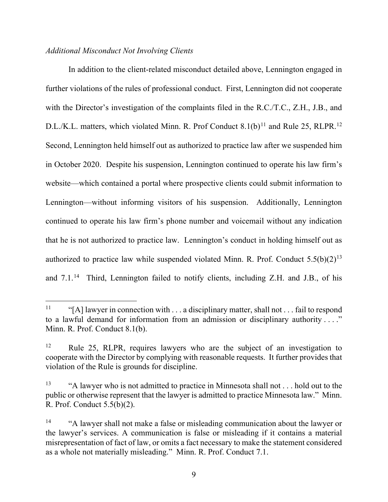## *Additional Misconduct Not Involving Clients*

In addition to the client-related misconduct detailed above, Lennington engaged in further violations of the rules of professional conduct. First, Lennington did not cooperate with the Director's investigation of the complaints filed in the R.C./T.C., Z.H., J.B., and D.L./K.L. matters, which violated Minn. R. Prof Conduct  $8.1(b)^{11}$  $8.1(b)^{11}$  $8.1(b)^{11}$  and Rule 25, RLPR.<sup>[12](#page-8-1)</sup> Second, Lennington held himself out as authorized to practice law after we suspended him in October 2020. Despite his suspension, Lennington continued to operate his law firm's website—which contained a portal where prospective clients could submit information to Lennington—without informing visitors of his suspension. Additionally, Lennington continued to operate his law firm's phone number and voicemail without any indication that he is not authorized to practice law. Lennington's conduct in holding himself out as authorized to practice law while suspended violated Minn. R. Prof. Conduct  $5.5(b)(2)^{13}$  $5.5(b)(2)^{13}$  $5.5(b)(2)^{13}$ and 7.1.<sup>[14](#page-8-3)</sup> Third, Lennington failed to notify clients, including Z.H. and J.B., of his

<span id="page-8-0"></span><sup>&</sup>lt;sup>11</sup> "[A] lawyer in connection with  $\dots$  a disciplinary matter, shall not  $\dots$  fail to respond to a lawful demand for information from an admission or disciplinary authority . . . ." Minn. R. Prof. Conduct 8.1(b).

<span id="page-8-1"></span><sup>&</sup>lt;sup>12</sup> Rule 25, RLPR, requires lawyers who are the subject of an investigation to cooperate with the Director by complying with reasonable requests. It further provides that violation of the Rule is grounds for discipline.

<span id="page-8-2"></span><sup>&</sup>lt;sup>13</sup> "A lawyer who is not admitted to practice in Minnesota shall not . . . hold out to the public or otherwise represent that the lawyer is admitted to practice Minnesota law." Minn. R. Prof. Conduct 5.5(b)(2).

<span id="page-8-3"></span><sup>&</sup>lt;sup>14</sup> "A lawyer shall not make a false or misleading communication about the lawyer or the lawyer's services. A communication is false or misleading if it contains a material misrepresentation of fact of law, or omits a fact necessary to make the statement considered as a whole not materially misleading." Minn. R. Prof. Conduct 7.1.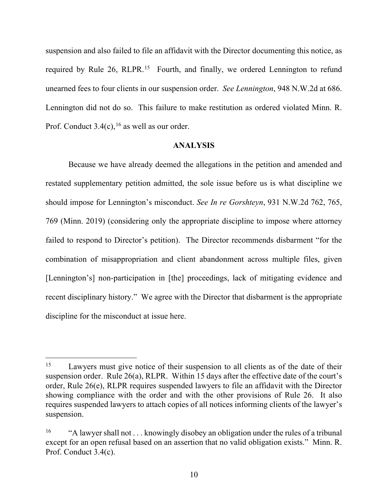suspension and also failed to file an affidavit with the Director documenting this notice, as required by Rule 26, RLPR.<sup>15</sup> Fourth, and finally, we ordered Lennington to refund unearned fees to four clients in our suspension order. *See Lennington*, 948 N.W.2d at 686. Lennington did not do so. This failure to make restitution as ordered violated Minn. R. Prof. Conduct  $3.4(c)$ , <sup>[16](#page-9-1)</sup> as well as our order.

## **ANALYSIS**

Because we have already deemed the allegations in the petition and amended and restated supplementary petition admitted, the sole issue before us is what discipline we should impose for Lennington's misconduct. *See In re Gorshteyn*, 931 N.W.2d 762, 765, 769 (Minn. 2019) (considering only the appropriate discipline to impose where attorney failed to respond to Director's petition). The Director recommends disbarment "for the combination of misappropriation and client abandonment across multiple files, given [Lennington's] non-participation in [the] proceedings, lack of mitigating evidence and recent disciplinary history." We agree with the Director that disbarment is the appropriate discipline for the misconduct at issue here.

<span id="page-9-0"></span><sup>&</sup>lt;sup>15</sup> Lawyers must give notice of their suspension to all clients as of the date of their suspension order. Rule 26(a), RLPR. Within 15 days after the effective date of the court's order, Rule 26(e), RLPR requires suspended lawyers to file an affidavit with the Director showing compliance with the order and with the other provisions of Rule 26. It also requires suspended lawyers to attach copies of all notices informing clients of the lawyer's suspension.

<span id="page-9-1"></span><sup>&</sup>lt;sup>16</sup> "A lawyer shall not . . . knowingly disobey an obligation under the rules of a tribunal except for an open refusal based on an assertion that no valid obligation exists." Minn. R. Prof. Conduct 3.4(c).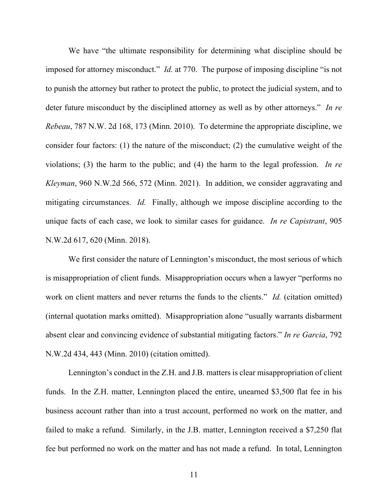We have "the ultimate responsibility for determining what discipline should be imposed for attorney misconduct." *Id.* at 770. The purpose of imposing discipline "is not to punish the attorney but rather to protect the public, to protect the judicial system, and to deter future misconduct by the disciplined attorney as well as by other attorneys." *In re Rebeau*, 787 N.W. 2d 168, 173 (Minn. 2010). To determine the appropriate discipline, we consider four factors: (1) the nature of the misconduct; (2) the cumulative weight of the violations; (3) the harm to the public; and (4) the harm to the legal profession. *In re Kleyman*, 960 N.W.2d 566, 572 (Minn. 2021). In addition, we consider aggravating and mitigating circumstances. *Id.* Finally, although we impose discipline according to the unique facts of each case, we look to similar cases for guidance. *In re Capistrant*, 905 N.W.2d 617, 620 (Minn. 2018).

We first consider the nature of Lennington's misconduct, the most serious of which is misappropriation of client funds. Misappropriation occurs when a lawyer "performs no work on client matters and never returns the funds to the clients." *Id.* (citation omitted) (internal quotation marks omitted). Misappropriation alone "usually warrants disbarment absent clear and convincing evidence of substantial mitigating factors." *In re Garcia*, 792 N.W.2d 434, 443 (Minn. 2010) (citation omitted).

Lennington's conduct in the Z.H. and J.B. matters is clear misappropriation of client funds. In the Z.H. matter, Lennington placed the entire, unearned \$3,500 flat fee in his business account rather than into a trust account, performed no work on the matter, and failed to make a refund. Similarly, in the J.B. matter, Lennington received a \$7,250 flat fee but performed no work on the matter and has not made a refund. In total, Lennington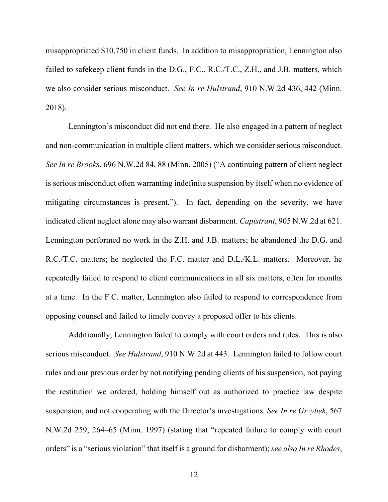misappropriated \$10,750 in client funds. In addition to misappropriation, Lennington also failed to safekeep client funds in the D.G., F.C., R.C./T.C., Z.H., and J.B. matters, which we also consider serious misconduct. *See In re Hulstrand*, 910 N.W.2d 436, 442 (Minn. 2018).

Lennington's misconduct did not end there. He also engaged in a pattern of neglect and non-communication in multiple client matters, which we consider serious misconduct. *See In re Brooks*, 696 N.W.2d 84, 88 (Minn. 2005) ("A continuing pattern of client neglect is serious misconduct often warranting indefinite suspension by itself when no evidence of mitigating circumstances is present."). In fact, depending on the severity, we have indicated client neglect alone may also warrant disbarment. *Capistrant*, 905 N.W.2d at 621. Lennington performed no work in the Z.H. and J.B. matters; he abandoned the D.G. and R.C./T.C. matters; he neglected the F.C. matter and D.L./K.L. matters. Moreover, he repeatedly failed to respond to client communications in all six matters, often for months at a time. In the F.C. matter, Lennington also failed to respond to correspondence from opposing counsel and failed to timely convey a proposed offer to his clients.

Additionally, Lennington failed to comply with court orders and rules. This is also serious misconduct. *See Hulstrand*, 910 N.W.2d at 443. Lennington failed to follow court rules and our previous order by not notifying pending clients of his suspension, not paying the restitution we ordered, holding himself out as authorized to practice law despite suspension, and not cooperating with the Director's investigations*. See In re Grzybek*, 567 N.W.2d 259, 264–65 (Minn. 1997) (stating that "repeated failure to comply with court orders" is a "serious violation" that itself is a ground for disbarment); *see also In re Rhodes*,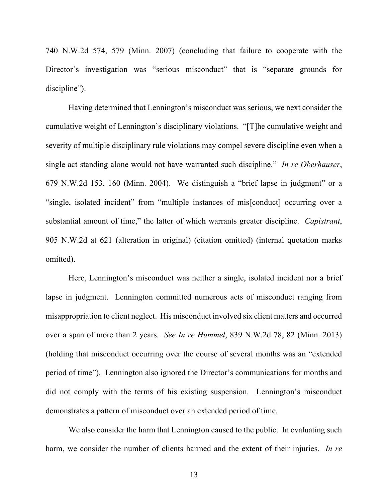740 N.W.2d 574, 579 (Minn. 2007) (concluding that failure to cooperate with the Director's investigation was "serious misconduct" that is "separate grounds for discipline").

Having determined that Lennington's misconduct was serious, we next consider the cumulative weight of Lennington's disciplinary violations. "[T]he cumulative weight and severity of multiple disciplinary rule violations may compel severe discipline even when a single act standing alone would not have warranted such discipline." *In re Oberhauser*, 679 N.W.2d 153, 160 (Minn. 2004). We distinguish a "brief lapse in judgment" or a "single, isolated incident" from "multiple instances of mis[conduct] occurring over a substantial amount of time," the latter of which warrants greater discipline. *Capistrant*, 905 N.W.2d at 621 (alteration in original) (citation omitted) (internal quotation marks omitted).

Here, Lennington's misconduct was neither a single, isolated incident nor a brief lapse in judgment. Lennington committed numerous acts of misconduct ranging from misappropriation to client neglect. His misconduct involved six client matters and occurred over a span of more than 2 years. *See In re Hummel*, 839 N.W.2d 78, 82 (Minn. 2013) (holding that misconduct occurring over the course of several months was an "extended period of time"). Lennington also ignored the Director's communications for months and did not comply with the terms of his existing suspension. Lennington's misconduct demonstrates a pattern of misconduct over an extended period of time.

We also consider the harm that Lennington caused to the public. In evaluating such harm, we consider the number of clients harmed and the extent of their injuries. *In re*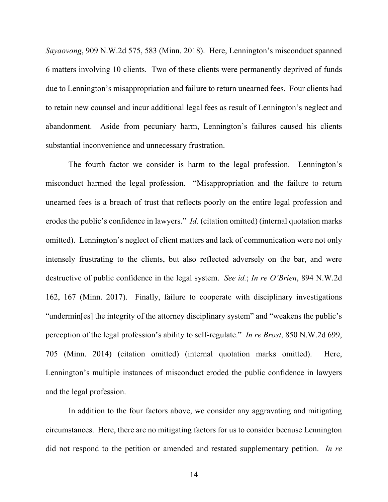*Sayaovong*, 909 N.W.2d 575, 583 (Minn. 2018). Here, Lennington's misconduct spanned 6 matters involving 10 clients. Two of these clients were permanently deprived of funds due to Lennington's misappropriation and failure to return unearned fees. Four clients had to retain new counsel and incur additional legal fees as result of Lennington's neglect and abandonment. Aside from pecuniary harm, Lennington's failures caused his clients substantial inconvenience and unnecessary frustration.

The fourth factor we consider is harm to the legal profession. Lennington's misconduct harmed the legal profession. "Misappropriation and the failure to return unearned fees is a breach of trust that reflects poorly on the entire legal profession and erodes the public's confidence in lawyers." *Id.* (citation omitted) (internal quotation marks omitted). Lennington's neglect of client matters and lack of communication were not only intensely frustrating to the clients, but also reflected adversely on the bar, and were destructive of public confidence in the legal system. *See id.*; *In re O'Brien*, 894 N.W.2d 162, 167 (Minn. 2017). Finally, failure to cooperate with disciplinary investigations "undermin[es] the integrity of the attorney disciplinary system" and "weakens the public's perception of the legal profession's ability to self-regulate." *In re Brost*, 850 N.W.2d 699, 705 (Minn. 2014) (citation omitted) (internal quotation marks omitted). Here, Lennington's multiple instances of misconduct eroded the public confidence in lawyers and the legal profession.

In addition to the four factors above, we consider any aggravating and mitigating circumstances. Here, there are no mitigating factors for us to consider because Lennington did not respond to the petition or amended and restated supplementary petition. *In re*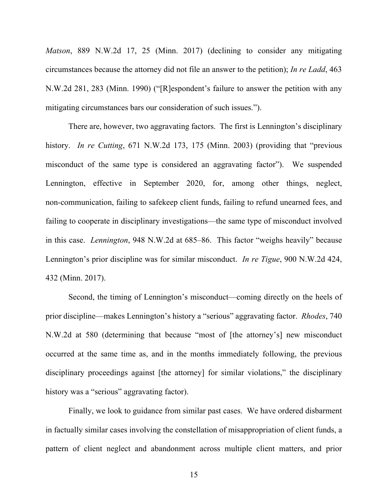*Matson*, 889 N.W.2d 17, 25 (Minn. 2017) (declining to consider any mitigating circumstances because the attorney did not file an answer to the petition); *In re Ladd*, 463 N.W.2d 281, 283 (Minn. 1990) ("[R]espondent's failure to answer the petition with any mitigating circumstances bars our consideration of such issues.").

There are, however, two aggravating factors. The first is Lennington's disciplinary history. *In re Cutting*, 671 N.W.2d 173, 175 (Minn. 2003) (providing that "previous misconduct of the same type is considered an aggravating factor"). We suspended Lennington, effective in September 2020, for, among other things, neglect, non-communication, failing to safekeep client funds, failing to refund unearned fees, and failing to cooperate in disciplinary investigations—the same type of misconduct involved in this case. *Lennington*, 948 N.W.2d at 685–86. This factor "weighs heavily" because Lennington's prior discipline was for similar misconduct. *In re Tigue*, 900 N.W.2d 424, 432 (Minn. 2017).

Second, the timing of Lennington's misconduct—coming directly on the heels of prior discipline—makes Lennington's history a "serious" aggravating factor. *Rhodes*, 740 N.W.2d at 580 (determining that because "most of [the attorney's] new misconduct occurred at the same time as, and in the months immediately following, the previous disciplinary proceedings against [the attorney] for similar violations," the disciplinary history was a "serious" aggravating factor).

Finally, we look to guidance from similar past cases. We have ordered disbarment in factually similar cases involving the constellation of misappropriation of client funds, a pattern of client neglect and abandonment across multiple client matters, and prior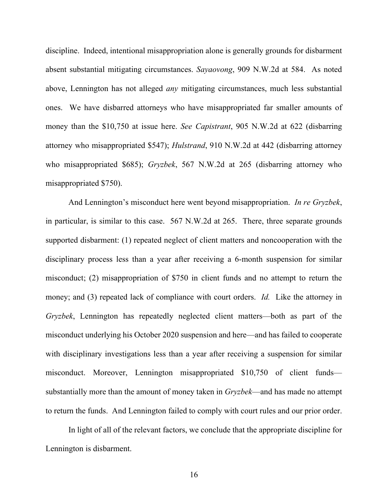discipline. Indeed, intentional misappropriation alone is generally grounds for disbarment absent substantial mitigating circumstances. *Sayaovong*, 909 N.W.2d at 584. As noted above, Lennington has not alleged *any* mitigating circumstances, much less substantial ones. We have disbarred attorneys who have misappropriated far smaller amounts of money than the \$10,750 at issue here. *See Capistrant*, 905 N.W.2d at 622 (disbarring attorney who misappropriated \$547); *Hulstrand*, 910 N.W.2d at 442 (disbarring attorney who misappropriated \$685); *Gryzbek*, 567 N.W.2d at 265 (disbarring attorney who misappropriated \$750).

And Lennington's misconduct here went beyond misappropriation. *In re Gryzbek*, in particular, is similar to this case. 567 N.W.2d at 265. There, three separate grounds supported disbarment: (1) repeated neglect of client matters and noncooperation with the disciplinary process less than a year after receiving a 6-month suspension for similar misconduct; (2) misappropriation of \$750 in client funds and no attempt to return the money; and (3) repeated lack of compliance with court orders. *Id.* Like the attorney in *Gryzbek*, Lennington has repeatedly neglected client matters—both as part of the misconduct underlying his October 2020 suspension and here—and has failed to cooperate with disciplinary investigations less than a year after receiving a suspension for similar misconduct. Moreover, Lennington misappropriated \$10,750 of client funds substantially more than the amount of money taken in *Gryzbek*—and has made no attempt to return the funds. And Lennington failed to comply with court rules and our prior order.

In light of all of the relevant factors, we conclude that the appropriate discipline for Lennington is disbarment.